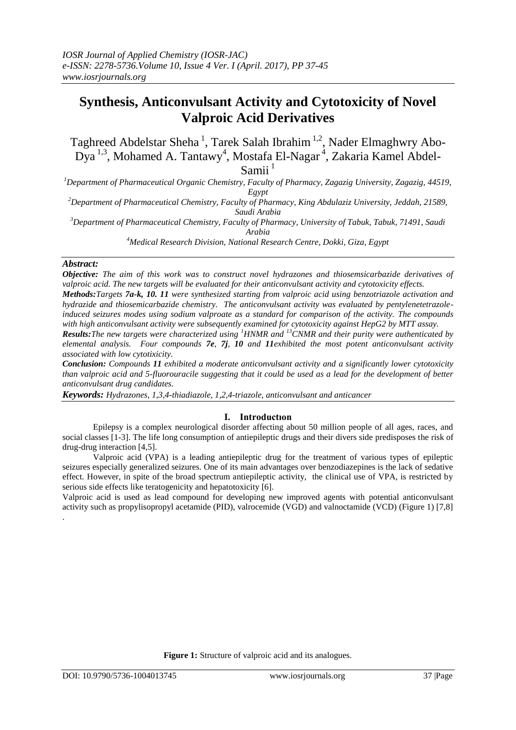# **Synthesis, Anticonvulsant Activity and Cytotoxicity of Novel Valproic Acid Derivatives**

Taghreed Abdelstar Sheha<sup>1</sup>, Tarek Salah Ibrahim<sup>1,2</sup>, Nader Elmaghwry Abo-Dya<sup>1,3</sup>, Mohamed A. Tantawy<sup>4</sup>, Mostafa El-Nagar<sup>4</sup>, Zakaria Kamel Abdel-Samii<sup>1</sup>

*<sup>1</sup>Department of Pharmaceutical Organic Chemistry, Faculty of Pharmacy, Zagazig University, Zagazig, 44519, Egypt*

*<sup>2</sup>Department of Pharmaceutical Chemistry, Faculty of Pharmacy, King Abdulaziz University, Jeddah, 21589, Saudi Arabia*

*<sup>3</sup>Department of Pharmaceutical Chemistry, Faculty of Pharmacy, University of Tabuk, Tabuk, 71491, Saudi Arabia*

*<sup>4</sup>Medical Research Division, National Research Centre, Dokki, Giza, Egypt*

# *Abstract:*

*Objective: The aim of this work was to construct novel hydrazones and thiosemsicarbazide derivatives of valproic acid. The new targets will be evaluated for their anticonvulsant activity and cytotoxicity effects.*

*Methods:Targets 7a-k, 10. 11 were synthesized starting from valproic acid using benzotriazole activation and hydrazide and thiosemicarbazide chemistry. The anticonvulsant activity was evaluated by pentylenetetrazoleinduced seizures modes using sodium valproate as a standard for comparison of the activity. The compounds with high anticonvulsant activity were subsequently examined for cytotoxicity against HepG2 by MTT assay.*

*Results:The new targets were characterized using <sup>1</sup>HNMR and <sup>13</sup>CNMR and their purity were authenticated by elemental analysis. Four compounds 7e, 7j, 10 and 11exhibited the most potent anticonvulsant activity associated with low cytotixicity.* 

*Conclusion: Compounds 11 exhibited a moderate anticonvulsant activity and a significantly lower cytotoxicity than valproic acid and 5-fluorouracile suggesting that it could be used as a lead for the development of better anticonvulsant drug candidates.*

*Keywords: Hydrazones, 1,3,4-thiadiazole, 1,2,4-triazole, anticonvulsant and anticancer* 

# **I. Introductıon**

Epilepsy is a complex neurological disorder affecting about 50 million people of all ages, races, and social classes [1-3]. The life long consumption of antiepileptic drugs and their divers side predisposes the risk of drug-drug interaction [4,5].

Valproic acid (VPA) is a leading antiepileptic drug for the treatment of various types of epileptic seizures especially generalized seizures. One of its main advantages over benzodiazepines is the lack of sedative effect. However, in spite of the broad spectrum antiepileptic activity, the clinical use of VPA, is restricted by serious side effects like teratogenicity and hepatotoxicity [6].

Valproic acid is used as lead compound for developing new improved agents with potential anticonvulsant activity such as propylisopropyl acetamide (PID), valrocemide (VGD) and valnoctamide (VCD) (Figure 1) [7,8] .

**Figure 1:** Structure of valproic acid and its analogues.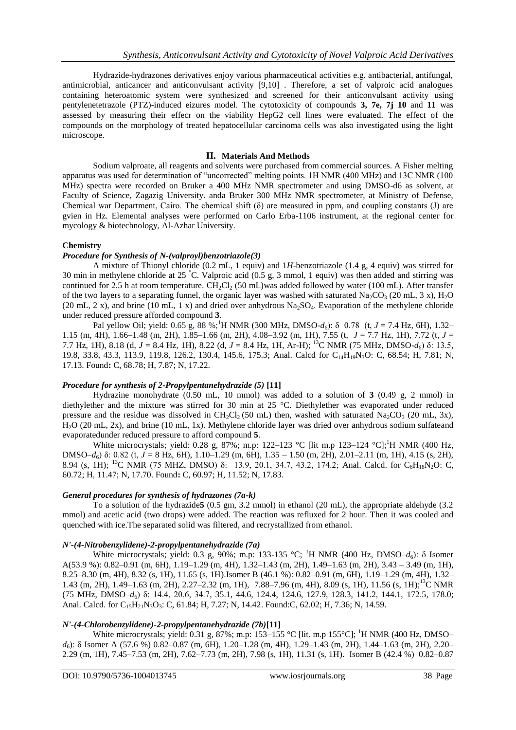Hydrazide-hydrazones derivatives enjoy various pharmaceutical activities e.g. antibacterial, antifungal, antimicrobial, anticancer and anticonvulsant activity [9,10] . Therefore, a set of valproic acid analogues containing heteroatomic system were synthesized and screened for their anticonvulsant activity using pentylenetetrazole (PTZ)-induced eizures model. The cytotoxicity of compounds **3, 7e, 7j 10** and **11** was assessed by measuring their effecr on the viability HepG2 cell lines were evaluated. The effect of the compounds on the morphology of treated hepatocellular carcinoma cells was also investigated using the light microscope.

# **II. Materials And Methods**

Sodium valproate, all reagents and solvents were purchased from commercial sources. A Fisher melting apparatus was used for determination of "uncorrected" melting points. 1H NMR (400 MHz) and 13C NMR (100 MHz) spectra were recorded on Bruker a 400 MHz NMR spectrometer and using DMSO-d6 as solvent, at Faculty of Science, Zagazig University. anda Bruker 300 MHz NMR spectrometer, at Ministry of Defense, Chemical war Department, Cairo. The chemical shift (δ) are measured in ppm, and coupling constants (J) are gvien in Hz. Elemental analyses were performed on Carlo Erba-1106 instrument, at the regional center for mycology & biotechnology, Al-Azhar University.

# **Chemistry**

# *Procedure for Synthesis of N-(valproyl)benzotriazole(3)*

A mixture of Thionyl chloride (0.2 mL, 1 equiv) and 1*H*-benzotriazole (1.4 g, 4 equiv) was stirred for 30 min in methylene chloride at 25 °C. Valproic acid (0.5 g, 3 mmol, 1 equiv) was then added and stirring was continued for 2.5 h at room temperature.  $CH_2Cl_2$  (50 mL)was added followed by water (100 mL). After transfer of the two layers to a separating funnel, the organic layer was washed with saturated  $Na_2CO_3$  (20 mL, 3 x),  $H_2O$ (20 mL, 2 x), and brine (10 mL, 1 x) and dried over anhydrous  $Na<sub>2</sub>SO<sub>4</sub>$ . Evaporation of the methylene chloride under reduced pressure afforded compound **3**.

Pal yellow Oil; yield: 0.65 g, 88 %;<sup>1</sup>H NMR (300 MHz, DMSO- $d_6$ ):  $\delta$  0.78 (t, *J* = 7.4 Hz, 6H), 1.32– 1.15 (m, 4H), 1.66–1.48 (m, 2H), 1.85–1.66 (m, 2H), 4.08–3.92 (m, 1H), 7.55 (t, *J* = 7.7 Hz, 1H), 7.72 (t, *J* = 7.7 Hz, 1H), 8.18 (d, *J* = 8.4 Hz, 1H), 8.22 (d, *J* = 8.4 Hz, 1H, Ar-H); <sup>13</sup>C NMR (75 MHz, DMSO-*d*6) δ: 13.5, 19.8, 33.8, 43.3, 113.9, 119.8, 126.2, 130.4, 145.6, 175.3; Anal. Calcd for C<sub>14</sub>H<sub>19</sub>N<sub>3</sub>O: C, 68.54; H, 7.81; N, 17.13. Found**:** C, 68.78; H, 7.87; N, 17.22.

# *Procedure for synthesis of 2-Propylpentanehydrazide (5)* **[11]**

Hydrazine monohydrate (0.50 mL, 10 mmol) was added to a solution of **3** (0.49 g, 2 mmol) in diethylether and the mixture was stirred for 30 min at 25 °C. Diethylether was evaporated under reduced pressure and the residue was dissolved in  $CH_2Cl_2$  (50 mL) then, washed with saturated Na<sub>2</sub>CO<sub>3</sub> (20 mL, 3x), H2O (20 mL, 2x), and brine (10 mL, 1x). Methylene chloride layer was dried over anhydrous sodium sulfateand evaporatedunder reduced pressure to afford compound **5**.

White microcrystals; yield: 0.28 g, 87%; m.p: 122–123 °C [lit m.p 123–124 °C];<sup>1</sup>H NMR (400 Hz, DMSO–*d*6) δ: 0.82 (t, *J* = 8 Hz, 6H), 1.10–1.29 (m, 6H), 1.35 – 1.50 (m, 2H), 2.01–2.11 (m, 1H), 4.15 (s, 2H), 8.94 (s, 1H); <sup>13</sup>C NMR (75 MHZ, DMSO) δ: 13.9, 20.1, 34.7, 43.2, 174.2; Anal. Calcd. for C<sub>8</sub>H<sub>18</sub>N<sub>2</sub>O: C, 60.72; H, 11.47; N, 17.70. Found**:** C, 60.97; H, 11.52; N, 17.83.

# *General procedures for synthesis of hydrazones (7a-k)*

To a solution of the hydrazide**5** (0.5 gm, 3.2 mmol) in ethanol (20 mL), the appropriate aldehyde (3.2 mmol) and acetic acid (two drops) were added. The reaction was refluxed for 2 hour. Then it was cooled and quenched with ice.The separated solid was filtered, and recrystallized from ethanol.

# *N'-(4-Nitrobenzylidene)-2-propylpentanehydrazide (7a)*

White microcrystals; yield: 0.3 g, 90%; m.p: 133-135 °C; <sup>1</sup>H NMR (400 Hz, DMSO–d<sub>6</sub>): δ Isomer A(53.9 %): 0.82–0.91 (m, 6H), 1.19–1.29 (m, 4H), 1.32–1.43 (m, 2H), 1.49–1.63 (m, 2H), 3.43 – 3.49 (m, 1H), 8.25–8.30 (m, 4H), 8.32 (s, 1H), 11.65 (s, 1H).Isomer B (46.1 %): 0.82–0.91 (m, 6H), 1.19–1.29 (m, 4H), 1.32– 1.43 (m, 2H), 1.49–1.63 (m, 2H), 2.27–2.32 (m, 1H), 7.88–7.96 (m, 4H), 8.09 (s, 1H), 11.56 (s, 1H);<sup>13</sup>C NMR (75 MHz, DMSO–*d*6) δ: 14.4, 20.6, 34.7, 35.1, 44.6, 124.4, 124.6, 127.9, 128.3, 141.2, 144.1, 172.5, 178.0; Anal. Calcd. for C<sub>15</sub>H<sub>21</sub>N<sub>3</sub>O<sub>3</sub>: C, 61.84; H, 7.27; N, 14.42. Found:C, 62.02; H, 7.36; N, 14.59.

# *N'-(4-Chlorobenzylidene)-2-propylpentanehydrazide (7b)***[11]**

White microcrystals; yield: 0.31 g,  $87\%$ ; m.p: 153–155 °C [lit. m.p 155°C]; <sup>1</sup>H NMR (400 Hz, DMSO– *d*6): δ Isomer A (57.6 %) 0.82–0.87 (m, 6H), 1.20–1.28 (m, 4H), 1.29–1.43 (m, 2H), 1.44–1.63 (m, 2H), 2.20– 2.29 (m, 1H), 7.45–7.53 (m, 2H), 7.62–7.73 (m, 2H), 7.98 (s, 1H), 11.31 (s, 1H). Isomer B (42.4 %) 0.82–0.87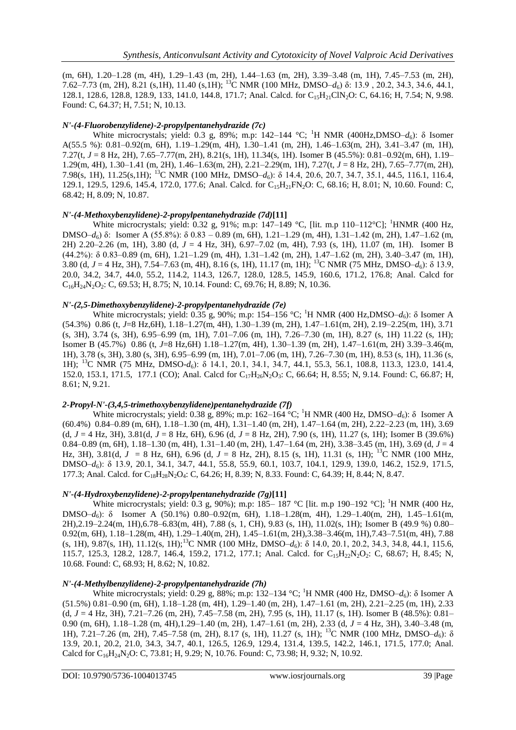(m, 6H), 1.20–1.28 (m, 4H), 1.29–1.43 (m, 2H), 1.44–1.63 (m, 2H), 3.39–3.48 (m, 1H), 7.45–7.53 (m, 2H), 7.62–7.73 (m, 2H), 8.21 (s,1H), 11.40 (s,1H); <sup>13</sup>C NMR (100 MHz, DMSO–*d*6) δ: 13.9 , 20.2, 34.3, 34.6, 44.1, 128.1, 128.6, 128.8, 128.9, 133, 141.0, 144.8, 171.7; Anal. Calcd. for C<sub>15</sub>H<sub>21</sub>ClN<sub>2</sub>O: C, 64.16; H, 7.54; N, 9.98. Found: C, 64.37; H, 7.51; N, 10.13.

# *N'-(4-Fluorobenzylidene)-2-propylpentanehydrazide (7c)*

White microcrystals; yield: 0.3 g, 89%; m.p:  $142-144$  °C; <sup>1</sup>H NMR (400Hz,DMSO– $d_6$ ): δ Isomer A(55.5 %): 0.81–0.92(m, 6H), 1.19–1.29(m, 4H), 1.30–1.41 (m, 2H), 1.46–1.63(m, 2H), 3.41–3.47 (m, 1H), 7.27(t, *J* = 8 Hz, 2H), 7.65–7.77(m, 2H), 8.21(s, 1H), 11.34(s, 1H). Isomer B (45.5%): 0.81–0.92(m, 6H), 1.19– 1.29(m, 4H), 1.30–1.41 (m, 2H), 1.46–1.63(m, 2H), 2.21–2.29(m, 1H), 7.27(t, *J* = 8 Hz, 2H), 7.65–7.77(m, 2H), 7.98(s, 1H), 11.25(s,1H); <sup>13</sup>C NMR (100 MHz, DMSO–*d*6): δ 14.4, 20.6, 20.7, 34.7, 35.1, 44.5, 116.1, 116.4, 129.1, 129.5, 129.6, 145.4, 172.0, 177.6; Anal. Calcd. for C<sub>15</sub>H<sub>21</sub>FN<sub>2</sub>O: C, 68.16; H, 8.01; N, 10.60. Found: C, 68.42; H, 8.09; N, 10.87.

# *N'-(4-Methoxybenzylidene)-2-propylpentanehydrazide (7d)***[11]**

White microcrystals; yield: 0.32 g, 91%; m.p: 147-149 °C, [lit. m.p 110-112°C]; <sup>1</sup>HNMR (400 Hz, DMSO–*d*6) δ: Isomer A (55.8%): δ 0.83 – 0.89 (m, 6H), 1.21–1.29 (m, 4H), 1.31–1.42 (m, 2H), 1.47–1.62 (m, 2H) 2.20–2.26 (m, 1H), 3.80 (d, *J* = 4 Hz, 3H), 6.97–7.02 (m, 4H), 7.93 (s, 1H), 11.07 (m, 1H). Isomer B (44.2%): δ 0.83–0.89 (m, 6H), 1.21–1.29 (m, 4H), 1.31–1.42 (m, 2H), 1.47–1.62 (m, 2H), 3.40–3.47 (m, 1H), 3.80 (d, *J* = 4 Hz, 3H), 7.54–7.63 (m, 4H), 8.16 (s, 1H), 11.17 (m, 1H); <sup>13</sup>C NMR (75 MHz, DMSO–*d*6): δ 13.9, 20.0, 34.2, 34.7, 44.0, 55.2, 114.2, 114.3, 126.7, 128.0, 128.5, 145.9, 160.6, 171.2, 176.8; Anal. Calcd for C16H24N2O2: C, 69.53; H, 8.75; N, 10.14. Found: C, 69.76; H, 8.89; N, 10.36.

# *N'-(2,5-Dimethoxybenzylidene)-2-propylpentanehydrazide (7e)*

White microcrystals; yield: 0.35 g, 90%; m.p: 154–156 °C; <sup>1</sup>H NMR (400 Hz, DMSO– $d_6$ ): δ Isomer A (54.3%) 0.86 (t, *J*=8 Hz,6H), 1.18–1.27(m, 4H), 1.30–1.39 (m, 2H), 1.47–1.61(m, 2H), 2.19–2.25(m, 1H), 3.71 (s, 3H), 3.74 (s, 3H), 6.95–6.99 (m, 1H), 7.01–7.06 (m, 1H), 7.26–7.30 (m, 1H), 8.27 (s, 1H) 11.22 (s, 1H); Isomer B (45.7%) 0.86 (t, *J*=8 Hz,6H) 1.18–1.27(m, 4H), 1.30–1.39 (m, 2H), 1.47–1.61(m, 2H) 3.39–3.46(m, 1H), 3.78 (s, 3H), 3.80 (s, 3H), 6.95–6.99 (m, 1H), 7.01–7.06 (m, 1H), 7.26–7.30 (m, 1H), 8.53 (s, 1H), 11.36 (s, 1H); <sup>13</sup>C NMR (75 MHz, DMSO-*d*<sub>6</sub>): δ 14.1, 20.1, 34.1, 34.7, 44.1, 55.3, 56.1, 108.8, 113.3, 123.0, 141.4, 152.0, 153.1, 171.5, 177.1 (CO); Anal. Calcd for C<sub>17</sub>H<sub>26</sub>N<sub>2</sub>O<sub>3</sub>: C, 66.64; H, 8.55; N, 9.14. Found: C, 66.87; H, 8.61; N, 9.21.

# *2-Propyl-N'-(3,4,5-trimethoxybenzylidene)pentanehydrazide (7f)*

White microcrystals; yield: 0.38 g, 89%; m.p: 162–164 °C; <sup>1</sup>H NMR (400 Hz, DMSO–d<sub>6</sub>): δ Isomer A (60.4%) 0.84–0.89 (m, 6H), 1.18–1.30 (m, 4H), 1.31–1.40 (m, 2H), 1.47–1.64 (m, 2H), 2.22–2.23 (m, 1H), 3.69 (d,  $J = 4$  Hz, 3H), 3.81(d,  $J = 8$  Hz, 6H), 6.96 (d,  $J = 8$  Hz, 2H), 7.90 (s, 1H), 11.27 (s, 1H); Isomer B (39.6%) 0.84–0.89 (m, 6H), 1.18–1.30 (m, 4H), 1.31–1.40 (m, 2H), 1.47–1.64 (m, 2H), 3.38–3.45 (m, 1H), 3.69 (d, *J* = 4 Hz, 3H), 3.81(d,  $J = 8$  Hz, 6H), 6.96 (d,  $J = 8$  Hz, 2H), 8.15 (s, 1H), 11.31 (s, 1H); <sup>13</sup>C NMR (100 MHz, DMSO–*d*6): δ 13.9, 20.1, 34.1, 34.7, 44.1, 55.8, 55.9, 60.1, 103.7, 104.1, 129.9, 139.0, 146.2, 152.9, 171.5, 177.3; Anal. Calcd. for  $C_{18}H_{28}N_2O_4$ : C, 64.26; H, 8.39; N, 8.33. Found: C, 64.39; H, 8.44; N, 8.47.

# *N'-(4-Hydroxybenzylidene)-2-propylpentanehydrazide (7g)***[11]**

White microcrystals; yield: 0.3 g, 90%); m.p: 185– 187 °C [lit. m.p 190–192 °C]; <sup>1</sup>H NMR (400 Hz, DMSO–*d*6): δ Isomer A (50.1%) 0.80–0.92(m, 6H), 1.18–1.28(m, 4H), 1.29–1.40(m, 2H), 1.45–1.61(m, 2H),2.19–2.24(m, 1H),6.78–6.83(m, 4H), 7.88 (s, 1, CH), 9.83 (s, 1H), 11.02(s, 1H); Isomer B (49.9 %) 0.80– 0.92(m, 6H), 1.18–1.28(m, 4H), 1.29–1.40(m, 2H), 1.45–1.61(m, 2H),3.38–3.46(m, 1H),7.43–7.51(m, 4H), 7.88 (s, 1H), 9.87(s, 1H), 11.12(s, 1H);<sup>13</sup>C NMR (100 MHz, DMSO–*d*6): δ 14.0, 20.1, 20.2, 34.3, 34.8, 44.1, 115.6, 115.7, 125.3, 128.2, 128.7, 146.4, 159.2, 171.2, 177.1; Anal. Calcd. for C<sub>15</sub>H<sub>22</sub>N<sub>2</sub>O<sub>2</sub>: C, 68.67; H, 8.45; N, 10.68. Found: C, 68.93; H, 8.62; N, 10.82.

# *N'-(4-Methylbenzylidene)-2-propylpentanehydrazide (7h)*

White microcrystals; yield: 0.29 g, 88%; m.p: 132–134 °C; <sup>1</sup>H NMR (400 Hz, DMSO–*d*6): δ Isomer A (51.5%) 0.81–0.90 (m, 6H), 1.18–1.28 (m, 4H), 1.29–1.40 (m, 2H), 1.47–1.61 (m, 2H), 2.21–2.25 (m, 1H), 2.33 (d, *J* = 4 Hz, 3H), 7.21–7.26 (m, 2H), 7.45–7.58 (m, 2H), 7.95 (s, 1H), 11.17 (s, 1H). Isomer B (48.5%): 0.81– 0.90 (m, 6H), 1.18–1.28 (m, 4H),1.29–1.40 (m, 2H), 1.47–1.61 (m, 2H), 2.33 (d, *J* = 4 Hz, 3H), 3.40–3.48 (m, 1H), 7.21–7.26 (m, 2H), 7.45–7.58 (m, 2H), 8.17 (s, 1H), 11.27 (s, 1H); <sup>13</sup>C NMR (100 MHz, DMSO–*d*6): δ 13.9, 20.1, 20.2, 21.0, 34.3, 34.7, 40.1, 126.5, 126.9, 129.4, 131.4, 139.5, 142.2, 146.1, 171.5, 177.0; Anal. Calcd for C<sub>16</sub>H<sub>24</sub>N<sub>2</sub>O: C, 73.81; H, 9.29; N, 10.76. Found: C, 73.98; H, 9.32; N, 10.92.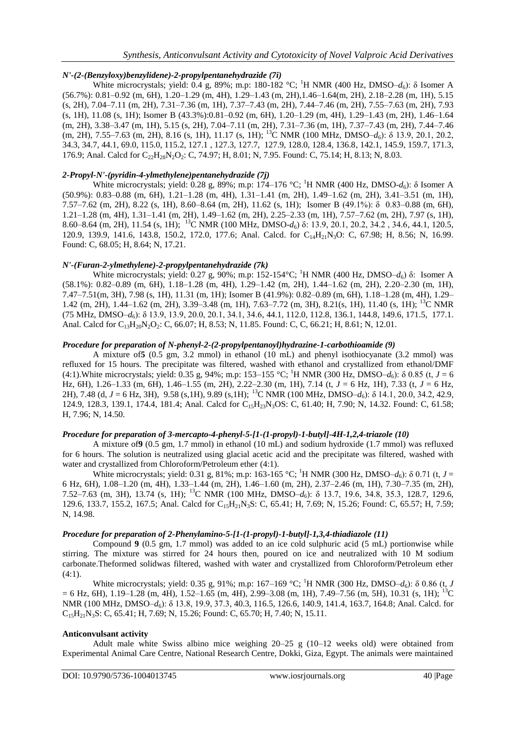# *N'-(2-(Benzyloxy)benzylidene)-2-propylpentanehydrazide (7i)*

White microcrystals; yield: 0.4 g, 89%; m.p: 180-182 °C; <sup>1</sup>H NMR (400 Hz, DMSO–*d*<sub>6</sub>): δ Isomer A (56.7%): 0.81–0.92 (m, 6H), 1.20–1.29 (m, 4H), 1.29–1.43 (m, 2H),1.46–1.64(m, 2H), 2.18–2.28 (m, 1H), 5.15 (s, 2H), 7.04–7.11 (m, 2H), 7.31–7.36 (m, 1H), 7.37–7.43 (m, 2H), 7.44–7.46 (m, 2H), 7.55–7.63 (m, 2H), 7.93 (s, 1H), 11.08 (s, 1H); Isomer B (43.3%):0.81–0.92 (m, 6H), 1.20–1.29 (m, 4H), 1.29–1.43 (m, 2H), 1.46–1.64 (m, 2H), 3.38–3.47 (m, 1H), 5.15 (s, 2H), 7.04–7.11 (m, 2H), 7.31–7.36 (m, 1H), 7.37–7.43 (m, 2H), 7.44–7.46 (m, 2H), 7.55–7.63 (m, 2H), 8.16 (s, 1H), 11.17 (s, 1H); <sup>13</sup>C NMR (100 MHz, DMSO–*d*6): δ 13.9, 20.1, 20.2, 34.3, 34.7, 44.1, 69.0, 115.0, 115.2, 127.1 , 127.3, 127.7, 127.9, 128.0, 128.4, 136.8, 142.1, 145.9, 159.7, 171.3, 176.9; Anal. Calcd for C<sub>22</sub>H<sub>28</sub>N<sub>2</sub>O<sub>2</sub>: C, 74.97; H, 8.01; N, 7.95. Found: C, 75.14; H, 8.13; N, 8.03.

# *2-Propyl-N'-(pyridin-4-ylmethylene)pentanehydrazide (7j)*

White microcrystals; yield: 0.28 g, 89%; m.p: 174–176 °C; <sup>1</sup>H NMR (400 Hz, DMSO-*d*<sub>6</sub>): δ Isomer A (50.9%): 0.83–0.88 (m, 6H), 1.21–1.28 (m, 4H), 1.31–1.41 (m, 2H), 1.49–1.62 (m, 2H), 3.41–3.51 (m, 1H), 7.57–7.62 (m, 2H), 8.22 (s, 1H), 8.60–8.64 (m, 2H), 11.62 (s, 1H); Isomer B (49.1%): δ 0.83–0.88 (m, 6H), 1.21–1.28 (m, 4H), 1.31–1.41 (m, 2H), 1.49–1.62 (m, 2H), 2.25–2.33 (m, 1H), 7.57–7.62 (m, 2H), 7.97 (s, 1H), 8.60–8.64 (m, 2H), 11.54 (s, 1H); <sup>13</sup>C NMR (100 MHz, DMSO-*d*6) δ: 13.9, 20.1, 20.2, 34.2 , 34.6, 44.1, 120.5, 120.9, 139.9, 141.6, 143.8, 150.2, 172.0, 177.6; Anal. Calcd. for C<sub>14</sub>H<sub>21</sub>N<sub>3</sub>O: C, 67.98; H, 8.56; N, 16.99. Found: C, 68.05; H, 8.64; N, 17.21.

# *N'-(Furan-2-ylmethylene)-2-propylpentanehydrazide (7k)*

White microcrystals; yield: 0.27 g, 90%; m.p: 152-154°C; <sup>1</sup>H NMR (400 Hz, DMSO–*d*6) δ: Isomer A (58.1%): 0.82–0.89 (m, 6H), 1.18–1.28 (m, 4H), 1.29–1.42 (m, 2H), 1.44–1.62 (m, 2H), 2.20–2.30 (m, 1H), 7.47–7.51(m, 3H), 7.98 (s, 1H), 11.31 (m, 1H); Isomer B (41.9%): 0.82–0.89 (m, 6H), 1.18–1.28 (m, 4H), 1.29– 1.42 (m, 2H), 1.44–1.62 (m, 2H), 3.39–3.48 (m, 1H), 7.63–7.72 (m, 3H), 8.21(s, 1H), 11.40 (s, 1H); <sup>13</sup>C NMR (75 MHz, DMSO–*d*6): δ 13.9, 13.9, 20.0, 20.1, 34.1, 34.6, 44.1, 112.0, 112.8, 136.1, 144.8, 149.6, 171.5, 177.1. Anal. Calcd for C<sub>13</sub>H<sub>20</sub>N<sub>2</sub>O<sub>2</sub>: C, 66.07; H, 8.53; N, 11.85. Found: C, C, 66.21; H, 8.61; N, 12.01.

# *Procedure for preparation of N-phenyl-2-(2-propylpentanoyl)hydrazine-1-carbothioamide (9)*

A mixture of**5** (0.5 gm, 3.2 mmol) in ethanol (10 mL) and phenyl isothiocyanate (3.2 mmol) was refluxed for 15 hours. The precipitate was filtered, washed with ethanol and crystallized from ethanol/DMF (4:1).White microcrystals; yield: 0.35 g, 94%; m.p: 153–155 °C; <sup>1</sup>H NMR (300 Hz, DMSO– $d_6$ ):  $\delta$  0.85 (t,  $J = 6$ Hz, 6H), 1.26–1.33 (m, 6H), 1.46–1.55 (m, 2H), 2.22–2.30 (m, 1H), 7.14 (t, *J* = 6 Hz, 1H), 7.33 (t, *J* = 6 Hz, 2H), 7.48 (d, *J* = 6 Hz, 3H), 9.58 (s,1H), 9.89 (s,1H);<sup>13</sup>C NMR (100 MHz, DMSO–*d*<sub>6</sub>): δ 14.1, 20.0, 34.2, 42.9, 124.9, 128.3, 139.1, 174.4, 181.4; Anal. Calcd for C15H23N3OS: C, 61.40; H, 7.90; N, 14.32. Found: C, 61.58; H, 7.96; N, 14.50.

# *Procedure for preparation of 3-mercapto-4-phenyl-5-[1-(1-propyl)-1-butyl]-4H-1,2,4-triazole (10)*

A mixture of**9** (0.5 gm, 1.7 mmol) in ethanol (10 mL) and sodium hydroxide (1.7 mmol) was refluxed for 6 hours. The solution is neutralized using glacial acetic acid and the precipitate was filtered, washed with water and crystallized from Chloroform/Petroleum ether (4:1).

White microcrystals; yield: 0.31 g, 81%; m.p: 163-165 °C; <sup>1</sup>H NMR (300 Hz, DMSO– $d_6$ ):  $\delta$  0.71 (t,  $J =$ 6 Hz, 6H), 1.08–1.20 (m, 4H), 1.33–1.44 (m, 2H), 1.46–1.60 (m, 2H), 2.37–2.46 (m, 1H), 7.30–7.35 (m, 2H), 7.52–7.63 (m, 3H), 13.74 (s, 1H); <sup>13</sup>C NMR (100 MHz, DMSO–*d*6): δ 13.7, 19.6, 34.8, 35.3, 128.7, 129.6, 129.6, 133.7, 155.2, 167.5; Anal. Calcd for C15H21N3S: C, 65.41; H, 7.69; N, 15.26; Found: C, 65.57; H, 7.59; N, 14.98.

# *Procedure for preparation of 2-Phenylamino-5-[1-(1-propyl)-1-butyl]-1,3,4-thiadiazole (11)*

Compound **9** (0.5 gm, 1.7 mmol) was added to an ice cold sulphuric acid (5 mL) portionwise while stirring. The mixture was stirred for 24 hours then, poured on ice and neutralized with 10 M sodium carbonate.Theformed solidwas filtered, washed with water and crystallized from Chloroform/Petroleum ether  $(4:1)$ .

White microcrystals; yield: 0.35 g, 91%; m.p: 167–169 °C; <sup>1</sup>H NMR (300 Hz, DMSO– $d_6$ ):  $\delta$  0.86 (t, *J*  $= 6$  Hz, 6H), 1.19–1.28 (m, 4H), 1.52–1.65 (m, 4H), 2.99–3.08 (m, 1H), 7.49–7.56 (m, 5H), 10.31 (s, 1H); <sup>13</sup>C NMR (100 MHz, DMSO–*d*<sub>6</sub>): δ 13.8, 19.9, 37.3, 40.3, 116.5, 126.6, 140.9, 141.4, 163.7, 164.8; Anal. Calcd. for  $C_{15}H_{21}N_3S$ : C, 65.41; H, 7.69; N, 15.26; Found: C, 65.70; H, 7.40; N, 15.11.

# **Anticonvulsant activity**

Adult male white Swiss albino mice weighing  $20-25$  g (10-12 weeks old) were obtained from Experimental Animal Care Centre, National Research Centre, Dokki, Giza, Egypt. The animals were maintained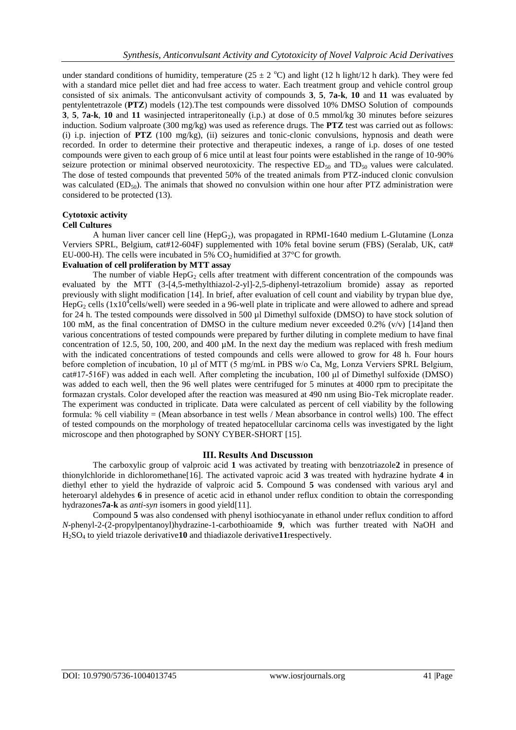under standard conditions of humidity, temperature  $(25 \pm 2 \degree C)$  and light (12 h light/12 h dark). They were fed with a standard mice pellet diet and had free access to water. Each treatment group and vehicle control group consisted of six animals. The anticonvulsant activity of compounds **3**, **5**, **7a-k**, **10** and **11** was evaluated by pentylentetrazole (**PTZ**) models (12).The test compounds were dissolved 10% DMSO Solution of compounds **3**, **5**, **7a-k**, **10** and **11** wasinjected intraperitoneally (i.p.) at dose of 0.5 mmol/kg 30 minutes before seizures induction. Sodium valproate (300 mg/kg) was used as reference drugs. The **PTZ** test was carried out as follows: (i) i.p. injection of **PTZ** (100 mg/kg), (ii) seizures and tonic-clonic convulsions, hypnosis and death were recorded. In order to determine their protective and therapeutic indexes, a range of i.p. doses of one tested compounds were given to each group of 6 mice until at least four points were established in the range of 10-90% seizure protection or minimal observed neurotoxicity. The respective  $ED_{50}$  and  $TD_{50}$  values were calculated. The dose of tested compounds that prevented 50% of the treated animals from PTZ-induced clonic convulsion was calculated  $(ED_{50})$ . The animals that showed no convulsion within one hour after PTZ administration were considered to be protected (13).

# **Cytotoxic activity**

# **Cell Cultures**

A human liver cancer cell line  $(HepG<sub>2</sub>)$ , was propagated in RPMI-1640 medium L-Glutamine (Lonza Verviers SPRL, Belgium, cat#12-604F) supplemented with 10% fetal bovine serum (FBS) (Seralab, UK, cat# EU-000-H). The cells were incubated in 5%  $CO<sub>2</sub>$  humidified at 37°C for growth.

# **Evaluation of cell proliferation by MTT assay**

The number of viable  $\text{HepG}_2$  cells after treatment with different concentration of the compounds was evaluated by the MTT (3-[4,5-methylthiazol-2-yl]-2,5-diphenyl-tetrazolium bromide) assay as reported previously with slight modification [14]. In brief, after evaluation of cell count and viability by trypan blue dye,  $\text{HepG}_2$  cells (1x10<sup>4</sup>cells/well) were seeded in a 96-well plate in triplicate and were allowed to adhere and spread for 24 h. The tested compounds were dissolved in 500 µl Dimethyl sulfoxide (DMSO) to have stock solution of 100 mM, as the final concentration of DMSO in the culture medium never exceeded 0.2% (v/v) [14]and then various concentrations of tested compounds were prepared by further diluting in complete medium to have final concentration of 12.5, 50, 100, 200, and 400  $\mu$ M. In the next day the medium was replaced with fresh medium with the indicated concentrations of tested compounds and cells were allowed to grow for 48 h. Four hours before completion of incubation, 10 μl of MTT (5 mg/mL in PBS w/o Ca, Mg, Lonza Verviers SPRL Belgium, cat#17-516F) was added in each well. After completing the incubation, 100 μl of Dimethyl sulfoxide (DMSO) was added to each well, then the 96 well plates were centrifuged for 5 minutes at 4000 rpm to precipitate the formazan crystals. Color developed after the reaction was measured at 490 nm using Bio-Tek microplate reader. The experiment was conducted in triplicate. Data were calculated as percent of cell viability by the following formula: % cell viability = (Mean absorbance in test wells / Mean absorbance in control wells) 100. The effect of tested compounds on the morphology of treated hepatocellular carcinoma cells was investigated by the light microscope and then photographed by SONY CYBER-SHORT [15].

# **III. Results And Dıscussıon**

The carboxylic group of valproic acid **1** was activated by treating with benzotriazole**2** in presence of thionylchloride in dichloromethane[16]. The activated vaproic acid **3** was treated with hydrazine hydrate **4** in diethyl ether to yield the hydrazide of valproic acid **5**. Compound **5** was condensed with various aryl and heteroaryl aldehydes 6 in presence of acetic acid in ethanol under reflux condition to obtain the corresponding hydrazones**7a-k** as *anti-syn* isomers in good yield[11].

Compound **5** was also condensed with phenyl isothiocyanate in ethanol under reflux condition to afford *N*-phenyl-2-(2-propylpentanoyl)hydrazine-1-carbothioamide **9**, which was further treated with NaOH and H2SO<sup>4</sup> to yield triazole derivative**10** and thiadiazole derivative**11**respectively.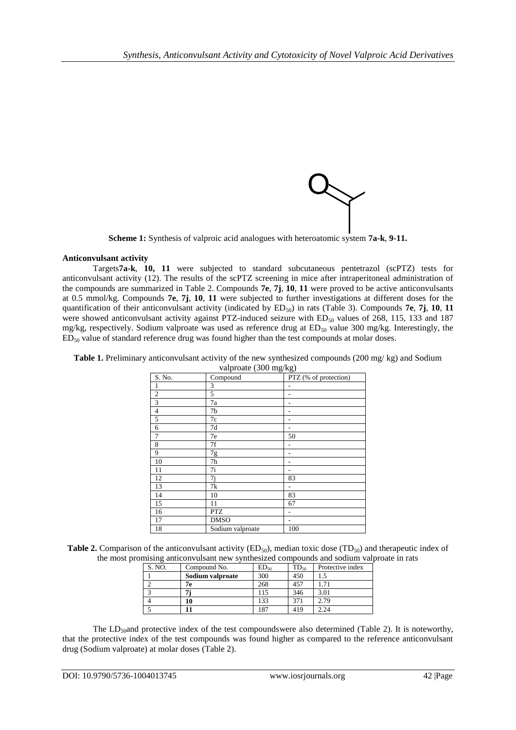

**Scheme 1:** Synthesis of valproic acid analogues with heteroatomic system **7a-k**, **9-11.**

# **Anticonvulsant activity**

Targets**7a-k**, **10, 11** were subjected to standard subcutaneous pentetrazol (scPTZ) tests for anticonvulsant activity (12). The results of the scPTZ screening in mice after intraperitoneal administration of the compounds are summarized in Table 2. Compounds **7e**, **7j**, **10**, **11** were proved to be active anticonvulsants at 0.5 mmol/kg. Compounds **7e**, **7j**, **10**, **11** were subjected to further investigations at different doses for the quantification of their anticonvulsant activity (indicated by  $ED_{50}$ ) in rats (Table 3). Compounds **7e**, **7j**, **10**, **11** were showed anticonvulsant activity against PTZ-induced seizure with  $ED_{50}$  values of 268, 115, 133 and 187 mg/kg, respectively. Sodium valproate was used as reference drug at  $ED_{50}$  value 300 mg/kg. Interestingly, the  $ED<sub>50</sub>$  value of standard reference drug was found higher than the test compounds at molar doses.

|                         | valproate (500 mg/kg) |                       |
|-------------------------|-----------------------|-----------------------|
| S. No.                  | Compound              | PTZ (% of protection) |
| -1                      | 3                     |                       |
| 2                       | 5                     |                       |
| $\overline{\mathbf{3}}$ | 7a                    |                       |
| $\overline{4}$          | 7b                    |                       |
| $\overline{5}$          | 7c                    |                       |
| 6                       | 7d                    |                       |
| $7\phantom{.0}$         | 7e                    | 50                    |
| $\,8\,$                 | 7f                    |                       |
| 9                       | 7g                    |                       |
| 10                      | 7h                    |                       |
| 11                      | 7i                    |                       |
| 12                      | 7i                    | 83                    |
| 13                      | 7k                    | -                     |
| 14                      | 10                    | 83                    |
| 15                      | 11                    | 67                    |
| 16                      | <b>PTZ</b>            |                       |
| 17                      | <b>DMSO</b>           |                       |
| 18                      | Sodium valproate      | 100                   |

 $v_0$ lagoate (200 mg/kg)

**Table 2.** Comparison of the anticonvulsant activity  $(ED_{50})$ , median toxic dose  $(TD_{50})$  and therapeutic index of the most promising anticonvulsant new synthesized compounds and sodium valproate in rats

| S. NO. | Compound No.     | $ED_{50}$ | $TD_{50}$ | Protective index |
|--------|------------------|-----------|-----------|------------------|
|        | Sodium valproate | 300       | 450       |                  |
|        | 7е               | 268       | 457       |                  |
|        |                  | 115       | 346       | 3.01             |
|        |                  | 133       | 371       | 2.79             |
|        |                  | 187       | 419       | 2.24             |

The  $LD<sub>50</sub>$ and protective index of the test compoundswere also determined (Table 2). It is noteworthy, that the protective index of the test compounds was found higher as compared to the reference anticonvulsant drug (Sodium valproate) at molar doses (Table 2).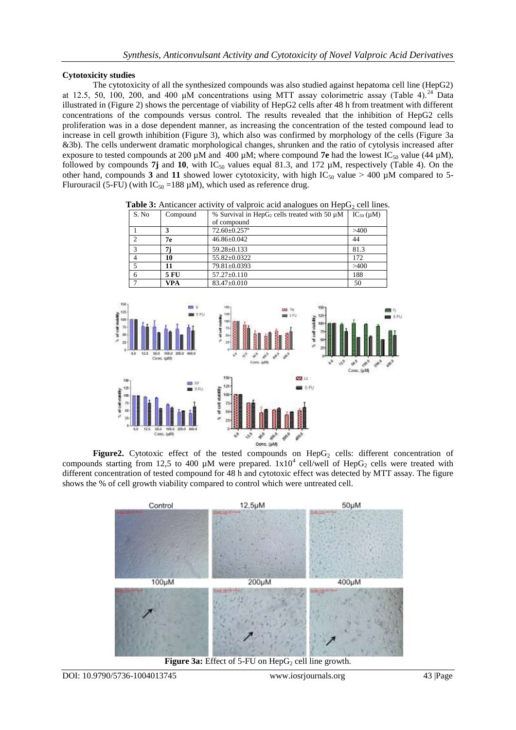# **Cytotoxicity studies**

The cytotoxicity of all the synthesized compounds was also studied against hepatoma cell line (HepG2) at 12.5, 50, 100, 200, and 400  $\mu$ M concentrations using MTT assay colorimetric assay (Table 4).<sup>24</sup> Data illustrated in (Figure 2) shows the percentage of viability of HepG2 cells after 48 h from treatment with different concentrations of the compounds versus control. The results revealed that the inhibition of HepG2 cells proliferation was in a dose dependent manner, as increasing the concentration of the tested compound lead to increase in cell growth inhibition (Figure 3), which also was confirmed by morphology of the cells (Figure 3a &3b). The cells underwent dramatic morphological changes, shrunken and the ratio of cytolysis increased after exposure to tested compounds at 200  $\mu$ M and 400  $\mu$ M; where compound **7e** had the lowest IC<sub>50</sub> value (44  $\mu$ M), followed by compounds  $7j$  and  $10$ , with  $IC_{50}$  values equal 81.3, and 172  $\mu$ M, respectively (Table 4). On the other hand, compounds 3 and 11 showed lower cytotoxicity, with high  $IC_{50}$  value > 400 µM compared to 5-Flurouracil (5-FU) (with  $IC_{50} = 188 \mu M$ ), which used as reference drug.

| Table 3: Anticancer activity of valproic acid analogues on $\text{HepG}_2$ cell lines. |  |                                             |  |  |  |  |  |  |
|----------------------------------------------------------------------------------------|--|---------------------------------------------|--|--|--|--|--|--|
| $\sim$ $\sim$                                                                          |  | <u>isa satu ya matu alifanyi ya matu ka</u> |  |  |  |  |  |  |

| S. No | Compound    | % Survival in HepG <sub>2</sub> cells treated with 50 $\mu$ M | $IC_{50}(\mu M)$ |  |  |
|-------|-------------|---------------------------------------------------------------|------------------|--|--|
|       |             | of compound                                                   |                  |  |  |
|       |             | $72.60 \pm 0.257$ <sup>a</sup>                                | >400             |  |  |
|       | 7е          | $46.86 \pm 0.042$                                             | 44               |  |  |
|       |             | $59.28 \pm 0.133$                                             | 81.3             |  |  |
|       | 10          | 55.82±0.0322                                                  | 172              |  |  |
|       |             | 79.81±0.0393                                                  | >400             |  |  |
|       | <b>5 FU</b> | $57.27 \pm 0.110$                                             | 188              |  |  |
|       | <b>VPA</b>  | 83.47±0.010                                                   | 50               |  |  |



Figure2. Cytotoxic effect of the tested compounds on HepG<sub>2</sub> cells: different concentration of compounds starting from 12,5 to 400  $\mu$ M were prepared.  $1x10^4$  cell/well of HepG<sub>2</sub> cells were treated with different concentration of tested compound for 48 h and cytotoxic effect was detected by MTT assay. The figure shows the % of cell growth viability compared to control which were untreated cell.



**Figure 3a:** Effect of 5-FU on HepG<sub>2</sub> cell line growth.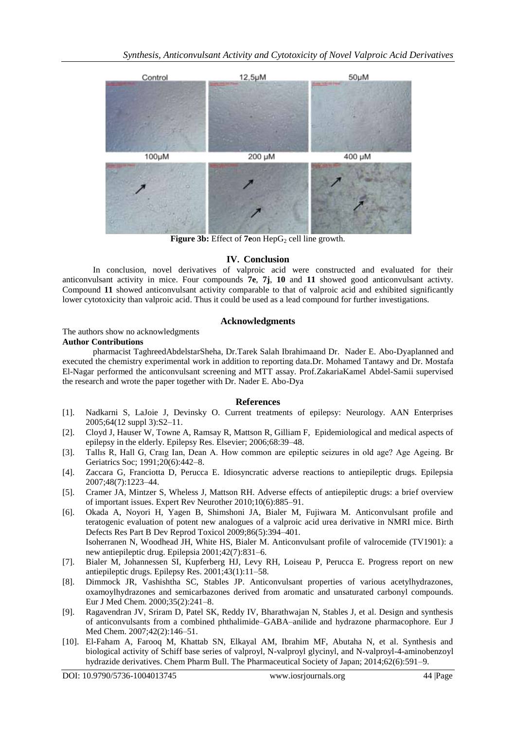

Figure 3b: Effect of 7eon HepG<sub>2</sub> cell line growth.

# **IV. Conclusion**

In conclusion, novel derivatives of valproic acid were constructed and evaluated for their anticonvulsant activity in mice. Four compounds **7e**, **7j**, **10** and **11** showed good anticonvulsant activty. Compound **11** showed anticonvulsant activity comparable to that of valproic acid and exhibited significantly lower cytotoxicity than valproic acid. Thus it could be used as a lead compound for further investigations.

# **Acknowledgments**

# The authors show no acknowledgments **Author Contributions**

pharmacist TaghreedAbdelstarSheha, Dr.Tarek Salah Ibrahimaand Dr. Nader E. Abo-Dyaplanned and executed the chemistry experimental work in addition to reporting data.Dr. Mohamed Tantawy and Dr. Mostafa El-Nagar performed the anticonvulsant screening and MTT assay. Prof.ZakariaKamel Abdel-Samii supervised the research and wrote the paper together with Dr. Nader E. Abo-Dya

# **References**

- [1]. Nadkarni S, LaJoie J, Devinsky O. Current treatments of epilepsy: Neurology. AAN Enterprises 2005;64(12 suppl 3):S2–11.
- [2]. Cloyd J, Hauser W, Towne A, Ramsay R, Mattson R, Gilliam F, Epidemiological and medical aspects of epilepsy in the elderly. Epilepsy Res. Elsevier; 2006;68:39–48.
- [3]. Tallıs R, Hall G, Craıg Ian, Dean A. How common are epileptic seizures in old age? Age Ageing. Br Geriatrics Soc; 1991;20(6):442–8.
- [4]. Zaccara G, Franciotta D, Perucca E. Idiosyncratic adverse reactions to antiepileptic drugs. Epilepsia 2007;48(7):1223–44.
- [5]. Cramer JA, Mintzer S, Wheless J, Mattson RH. Adverse effects of antiepileptic drugs: a brief overview of important issues. Expert Rev Neurother 2010;10(6):885–91.
- [6]. Okada A, Noyori H, Yagen B, Shimshoni JA, Bialer M, Fujiwara M. Anticonvulsant profile and teratogenic evaluation of potent new analogues of a valproic acid urea derivative in NMRI mice. Birth Defects Res Part B Dev Reprod Toxicol 2009;86(5):394–401. Isoherranen N, Woodhead JH, White HS, Bialer M. Anticonvulsant profile of valrocemide (TV1901): a new antiepileptic drug. Epilepsia 2001;42(7):831–6.
- [7]. Bialer M, Johannessen SI, Kupferberg HJ, Levy RH, Loiseau P, Perucca E. Progress report on new antiepileptic drugs. Epilepsy Res. 2001;43(1):11–58.
- [8]. Dimmock JR, Vashishtha SC, Stables JP. Anticonvulsant properties of various acetylhydrazones, oxamoylhydrazones and semicarbazones derived from aromatic and unsaturated carbonyl compounds. Eur J Med Chem. 2000;35(2):241–8.
- [9]. Ragavendran JV, Sriram D, Patel SK, Reddy IV, Bharathwajan N, Stables J, et al. Design and synthesis of anticonvulsants from a combined phthalimide–GABA–anilide and hydrazone pharmacophore. Eur J Med Chem. 2007;42(2):146–51.
- [10]. El-Faham A, Farooq M, Khattab SN, Elkayal AM, Ibrahim MF, Abutaha N, et al. Synthesis and biological activity of Schiff base series of valproyl, N-valproyl glycinyl, and N-valproyl-4-aminobenzoyl hydrazide derivatives. Chem Pharm Bull. The Pharmaceutical Society of Japan; 2014;62(6):591–9.